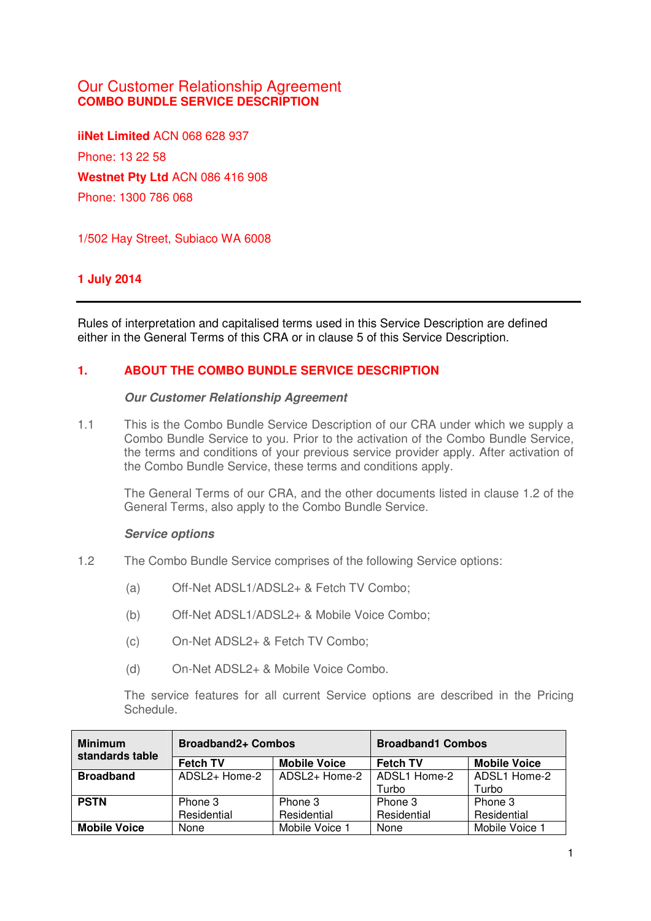# Our Customer Relationship Agreement **COMBO BUNDLE SERVICE DESCRIPTION**

**iiNet Limited** ACN 068 628 937 Phone: 13 22 58 **Westnet Pty Ltd** ACN 086 416 908 Phone: 1300 786 068

1/502 Hay Street, Subiaco WA 6008

# **1 July 2014**

Rules of interpretation and capitalised terms used in this Service Description are defined either in the General Terms of this CRA or in clause 5 of this Service Description.

### **1. ABOUT THE COMBO BUNDLE SERVICE DESCRIPTION**

#### **Our Customer Relationship Agreement**

1.1 This is the Combo Bundle Service Description of our CRA under which we supply a Combo Bundle Service to you. Prior to the activation of the Combo Bundle Service, the terms and conditions of your previous service provider apply. After activation of the Combo Bundle Service, these terms and conditions apply.

The General Terms of our CRA, and the other documents listed in clause 1.2 of the General Terms, also apply to the Combo Bundle Service.

#### **Service options**

- 1.2 The Combo Bundle Service comprises of the following Service options:
	- (a) Off-Net ADSL1/ADSL2+ & Fetch TV Combo;
	- (b) Off-Net ADSL1/ADSL2+ & Mobile Voice Combo;
	- (c) On-Net ADSL2+ & Fetch TV Combo;
	- (d) On-Net ADSL2+ & Mobile Voice Combo.

The service features for all current Service options are described in the Pricing Schedule.

| <b>Minimum</b><br>standards table | <b>Broadband2+ Combos</b> |                     | <b>Broadband1 Combos</b> |                     |
|-----------------------------------|---------------------------|---------------------|--------------------------|---------------------|
|                                   | <b>Fetch TV</b>           | <b>Mobile Voice</b> | <b>Fetch TV</b>          | <b>Mobile Voice</b> |
| <b>Broadband</b>                  | ADSL2+ Home-2             | ADSL2+ Home-2       | ADSL1 Home-2             | ADSL1 Home-2        |
|                                   |                           |                     | Turbo                    | Turbo               |
| <b>PSTN</b>                       | Phone 3                   | Phone 3             | Phone 3                  | Phone 3             |
|                                   | Residential               | Residential         | Residential              | Residential         |
| <b>Mobile Voice</b>               | None                      | Mobile Voice 1      | None                     | Mobile Voice 1      |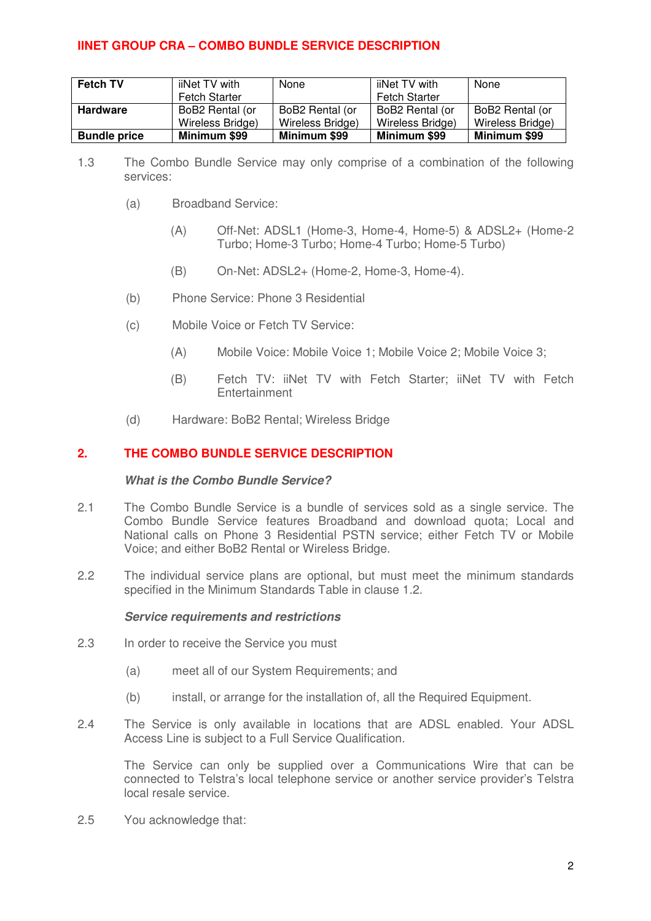| <b>Fetch TV</b>     | iiNet TV with        | None             | iiNet TV with        | None             |
|---------------------|----------------------|------------------|----------------------|------------------|
|                     | <b>Fetch Starter</b> |                  | <b>Fetch Starter</b> |                  |
| <b>Hardware</b>     | BoB2 Rental (or      | BoB2 Rental (or  | BoB2 Rental (or      | BoB2 Rental (or  |
|                     | Wireless Bridge)     | Wireless Bridge) | Wireless Bridge)     | Wireless Bridge) |
| <b>Bundle price</b> | Minimum \$99         | Minimum \$99     | Minimum \$99         | Minimum \$99     |

- 1.3 The Combo Bundle Service may only comprise of a combination of the following services:
	- (a) Broadband Service:
		- (A) Off-Net: ADSL1 (Home-3, Home-4, Home-5) & ADSL2+ (Home-2 Turbo; Home-3 Turbo; Home-4 Turbo; Home-5 Turbo)
		- (B) On-Net: ADSL2+ (Home-2, Home-3, Home-4).
	- (b) Phone Service: Phone 3 Residential
	- (c) Mobile Voice or Fetch TV Service:
		- (A) Mobile Voice: Mobile Voice 1; Mobile Voice 2; Mobile Voice 3;
		- (B) Fetch TV: iiNet TV with Fetch Starter; iiNet TV with Fetch Entertainment
	- (d) Hardware: BoB2 Rental; Wireless Bridge

### **2. THE COMBO BUNDLE SERVICE DESCRIPTION**

#### **What is the Combo Bundle Service?**

- 2.1 The Combo Bundle Service is a bundle of services sold as a single service. The Combo Bundle Service features Broadband and download quota; Local and National calls on Phone 3 Residential PSTN service; either Fetch TV or Mobile Voice; and either BoB2 Rental or Wireless Bridge.
- 2.2 The individual service plans are optional, but must meet the minimum standards specified in the Minimum Standards Table in clause 1.2.

#### **Service requirements and restrictions**

- 2.3 In order to receive the Service you must
	- (a) meet all of our System Requirements; and
	- (b) install, or arrange for the installation of, all the Required Equipment.
- 2.4 The Service is only available in locations that are ADSL enabled. Your ADSL Access Line is subject to a Full Service Qualification.

The Service can only be supplied over a Communications Wire that can be connected to Telstra's local telephone service or another service provider's Telstra local resale service.

2.5 You acknowledge that: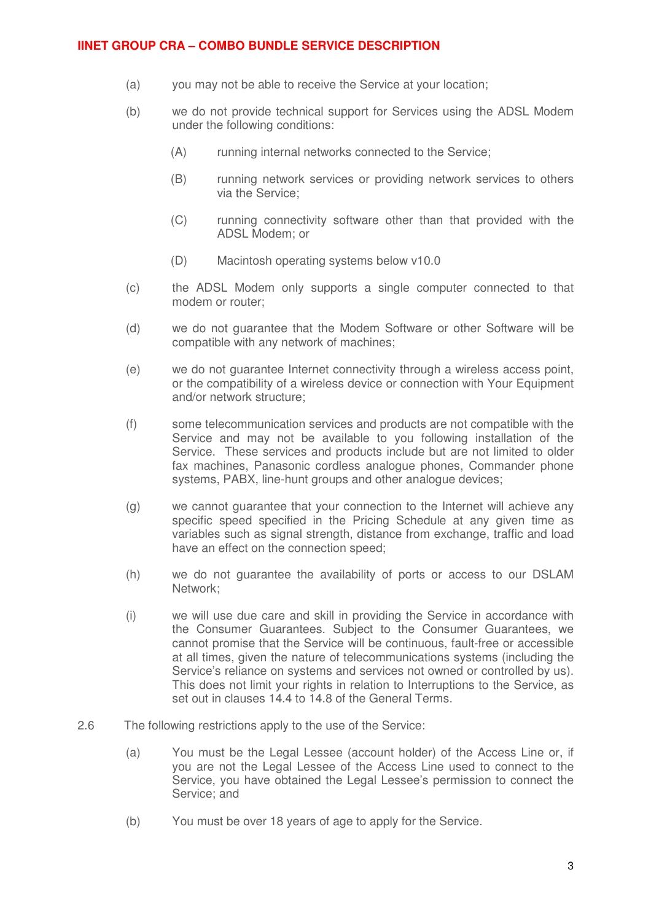- (a) you may not be able to receive the Service at your location;
- (b) we do not provide technical support for Services using the ADSL Modem under the following conditions:
	- (A) running internal networks connected to the Service;
	- (B) running network services or providing network services to others via the Service;
	- (C) running connectivity software other than that provided with the ADSL Modem; or
	- (D) Macintosh operating systems below v10.0
- (c) the ADSL Modem only supports a single computer connected to that modem or router;
- (d) we do not guarantee that the Modem Software or other Software will be compatible with any network of machines;
- (e) we do not guarantee Internet connectivity through a wireless access point, or the compatibility of a wireless device or connection with Your Equipment and/or network structure;
- (f) some telecommunication services and products are not compatible with the Service and may not be available to you following installation of the Service. These services and products include but are not limited to older fax machines, Panasonic cordless analogue phones, Commander phone systems, PABX, line-hunt groups and other analogue devices;
- (g) we cannot guarantee that your connection to the Internet will achieve any specific speed specified in the Pricing Schedule at any given time as variables such as signal strength, distance from exchange, traffic and load have an effect on the connection speed;
- (h) we do not guarantee the availability of ports or access to our DSLAM Network;
- (i) we will use due care and skill in providing the Service in accordance with the Consumer Guarantees. Subject to the Consumer Guarantees, we cannot promise that the Service will be continuous, fault-free or accessible at all times, given the nature of telecommunications systems (including the Service's reliance on systems and services not owned or controlled by us). This does not limit your rights in relation to Interruptions to the Service, as set out in clauses 14.4 to 14.8 of the General Terms.
- 2.6 The following restrictions apply to the use of the Service:
	- (a) You must be the Legal Lessee (account holder) of the Access Line or, if you are not the Legal Lessee of the Access Line used to connect to the Service, you have obtained the Legal Lessee's permission to connect the Service; and
	- (b) You must be over 18 years of age to apply for the Service.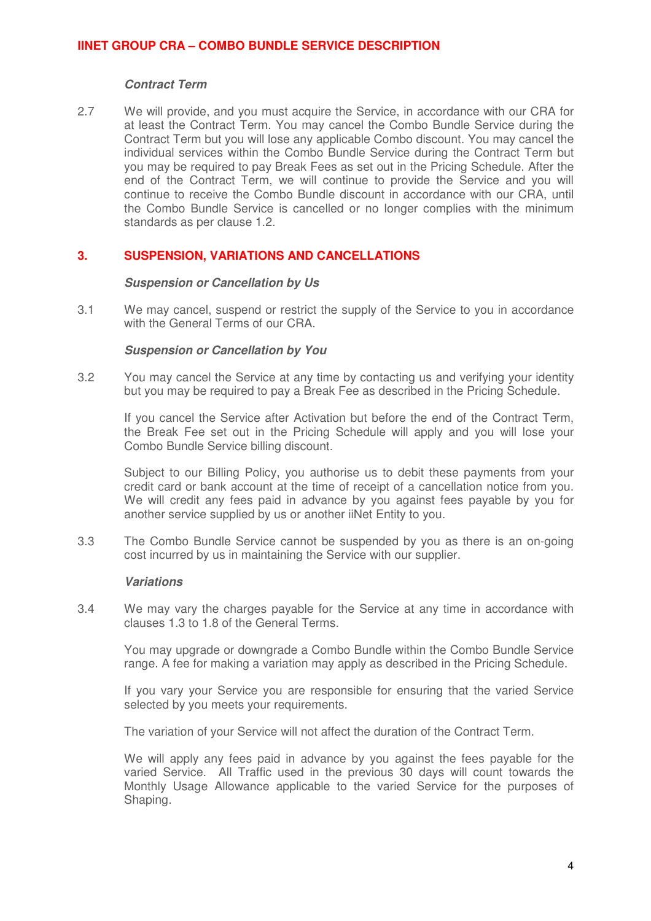### **Contract Term**

2.7 We will provide, and you must acquire the Service, in accordance with our CRA for at least the Contract Term. You may cancel the Combo Bundle Service during the Contract Term but you will lose any applicable Combo discount. You may cancel the individual services within the Combo Bundle Service during the Contract Term but you may be required to pay Break Fees as set out in the Pricing Schedule. After the end of the Contract Term, we will continue to provide the Service and you will continue to receive the Combo Bundle discount in accordance with our CRA, until the Combo Bundle Service is cancelled or no longer complies with the minimum standards as per clause 1.2.

### **3. SUSPENSION, VARIATIONS AND CANCELLATIONS**

#### **Suspension or Cancellation by Us**

3.1 We may cancel, suspend or restrict the supply of the Service to you in accordance with the General Terms of our CRA.

### **Suspension or Cancellation by You**

3.2 You may cancel the Service at any time by contacting us and verifying your identity but you may be required to pay a Break Fee as described in the Pricing Schedule.

If you cancel the Service after Activation but before the end of the Contract Term, the Break Fee set out in the Pricing Schedule will apply and you will lose your Combo Bundle Service billing discount.

Subject to our Billing Policy, you authorise us to debit these payments from your credit card or bank account at the time of receipt of a cancellation notice from you. We will credit any fees paid in advance by you against fees payable by you for another service supplied by us or another iiNet Entity to you.

3.3 The Combo Bundle Service cannot be suspended by you as there is an on-going cost incurred by us in maintaining the Service with our supplier.

### **Variations**

3.4 We may vary the charges payable for the Service at any time in accordance with clauses 1.3 to 1.8 of the General Terms.

You may upgrade or downgrade a Combo Bundle within the Combo Bundle Service range. A fee for making a variation may apply as described in the Pricing Schedule.

If you vary your Service you are responsible for ensuring that the varied Service selected by you meets your requirements.

The variation of your Service will not affect the duration of the Contract Term.

We will apply any fees paid in advance by you against the fees payable for the varied Service. All Traffic used in the previous 30 days will count towards the Monthly Usage Allowance applicable to the varied Service for the purposes of Shaping.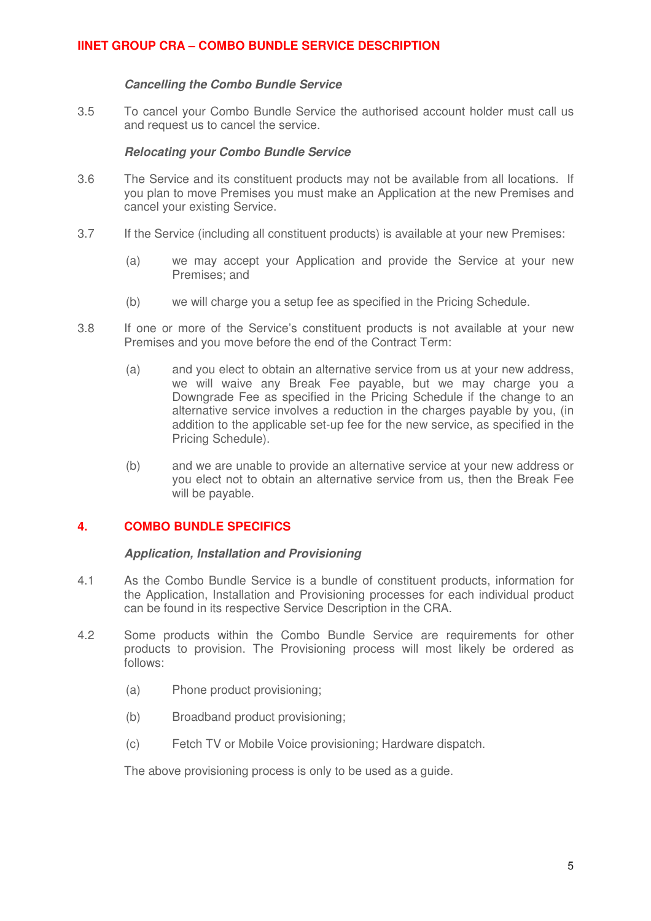### **Cancelling the Combo Bundle Service**

3.5 To cancel your Combo Bundle Service the authorised account holder must call us and request us to cancel the service.

### **Relocating your Combo Bundle Service**

- 3.6 The Service and its constituent products may not be available from all locations. If you plan to move Premises you must make an Application at the new Premises and cancel your existing Service.
- 3.7 If the Service (including all constituent products) is available at your new Premises:
	- (a) we may accept your Application and provide the Service at your new Premises; and
	- (b) we will charge you a setup fee as specified in the Pricing Schedule.
- 3.8 If one or more of the Service's constituent products is not available at your new Premises and you move before the end of the Contract Term:
	- (a) and you elect to obtain an alternative service from us at your new address, we will waive any Break Fee payable, but we may charge you a Downgrade Fee as specified in the Pricing Schedule if the change to an alternative service involves a reduction in the charges payable by you, (in addition to the applicable set-up fee for the new service, as specified in the Pricing Schedule).
	- (b) and we are unable to provide an alternative service at your new address or you elect not to obtain an alternative service from us, then the Break Fee will be payable.

# **4. COMBO BUNDLE SPECIFICS**

### **Application, Installation and Provisioning**

- 4.1 As the Combo Bundle Service is a bundle of constituent products, information for the Application, Installation and Provisioning processes for each individual product can be found in its respective Service Description in the CRA.
- 4.2 Some products within the Combo Bundle Service are requirements for other products to provision. The Provisioning process will most likely be ordered as follows:
	- (a) Phone product provisioning;
	- (b) Broadband product provisioning;
	- (c) Fetch TV or Mobile Voice provisioning; Hardware dispatch.

The above provisioning process is only to be used as a guide.